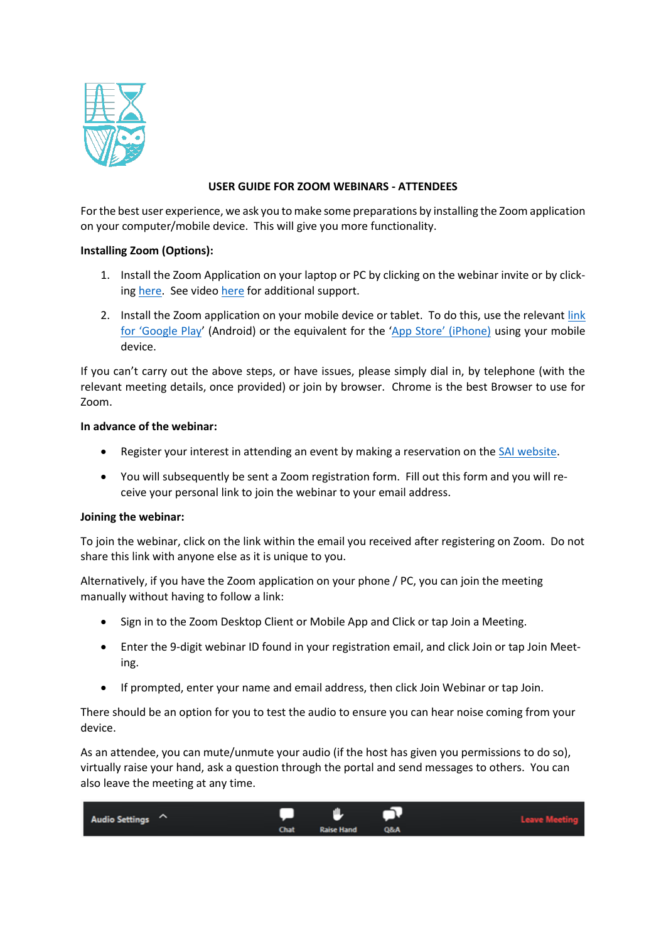

# **USER GUIDE FOR ZOOM WEBINARS - ATTENDEES**

For the best user experience, we ask you to make some preparations by installing the Zoom application on your computer/mobile device. This will give you more functionality.

# **Installing Zoom (Options):**

- 1. Install the Zoom Application on your laptop or PC by clicking on the webinar invite or by clicking [here.](https://zoom.us/download#client_4meeting) See video [here](https://screenrec.com/share/37vOcVZLXd) for additional support.
- 2. Install the Zoom application on your mobile device or tablet. To do this, use the relevant [link](https://play.google.com/store/apps/details?id=us.zoom.videomeetings&hl=en_IE)  [for 'Google Play'](https://play.google.com/store/apps/details?id=us.zoom.videomeetings&hl=en_IE) (Android) or the equivalent for the ['App Store' \(iPhone\)](https://apps.apple.com/us/app/zoom-cloud-meetings/id546505307) using your mobile device.

If you can't carry out the above steps, or have issues, please simply dial in, by telephone (with the relevant meeting details, once provided) or join by browser. Chrome is the best Browser to use for Zoom.

### **In advance of the webinar:**

- Register your interest in attending an event by making a reservation on the [SAI website.](https://web.actuaries.ie/events/upcoming)
- You will subsequently be sent a Zoom registration form. Fill out this form and you will receive your personal link to join the webinar to your email address.

### **Joining the webinar:**

To join the webinar, click on the link within the email you received after registering on Zoom. Do not share this link with anyone else as it is unique to you.

Alternatively, if you have the Zoom application on your phone / PC, you can join the meeting manually without having to follow a link:

- Sign in to the Zoom Desktop Client or Mobile App and Click or tap Join a Meeting.
- Enter the 9-digit webinar ID found in your registration email, and click Join or tap Join Meeting.
- If prompted, enter your name and email address, then click Join Webinar or tap Join.

There should be an option for you to test the audio to ensure you can hear noise coming from your device.

As an attendee, you can mute/unmute your audio (if the host has given you permissions to do so), virtually raise your hand, ask a question through the portal and send messages to others. You can also leave the meeting at any time.